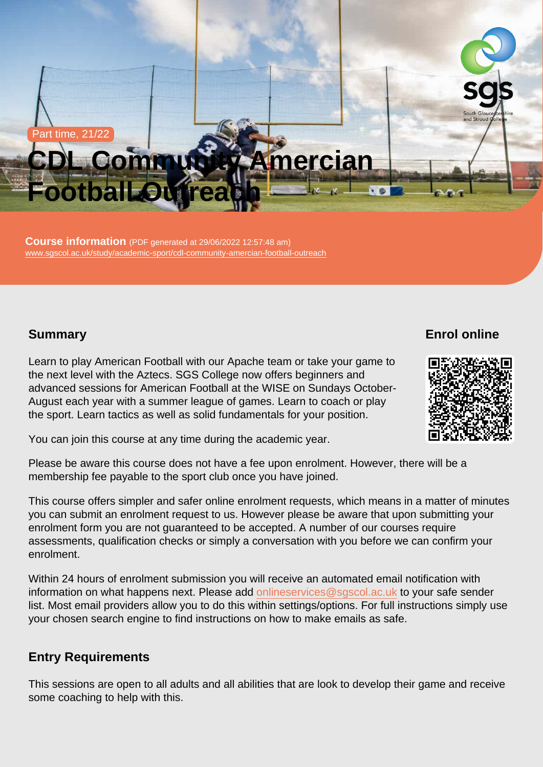#### Part time, 21/22

# CDL Community Amercian Football Outreach

Course information (PDF generated at 29/06/2022 12:57:48 am) [www.sgscol.ac.uk/study/academic-sport/cdl-community-amercian-football-outreach](https://www.sgscol.ac.uk/study/academic-sport/cdl-community-amercian-football-outreach)

## **Summary**

Enrol online

Learn to play American Football with our Apache team or take your game to the next level with the Aztecs. SGS College now offers beginners and advanced sessions for American Football at the WISE on Sundays October-August each year with a summer league of games. Learn to coach or play the sport. Learn tactics as well as solid fundamentals for your position.

You can join this course at any time during the academic year.

Please be aware this course does not have a fee upon enrolment. However, there will be a membership fee payable to the sport club once you have joined.

This course offers simpler and safer online enrolment requests, which means in a matter of minutes you can submit an enrolment request to us. However please be aware that upon submitting your enrolment form you are not guaranteed to be accepted. A number of our courses require assessments, qualification checks or simply a conversation with you before we can confirm your enrolment.

Within 24 hours of enrolment submission you will receive an automated email notification with information on what happens next. Please add [onlineservices@sgscol.ac.uk](mailto:onlineservices@sgscol.ac.uk) to your safe sender list. Most email providers allow you to do this within settings/options. For full instructions simply use your chosen search engine to find instructions on how to make emails as safe.

## Entry Requirements

This sessions are open to all adults and all abilities that are look to develop their game and receive some coaching to help with this.